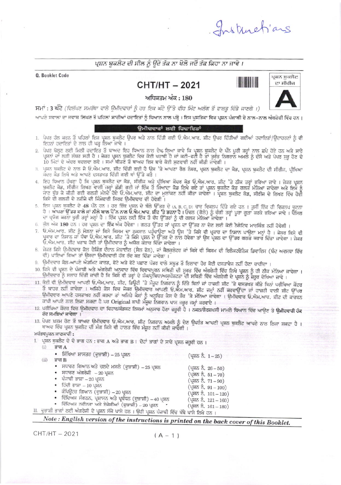Instructions

## ਪਸ਼ਨ ਬਕਲੈਟ ਦੀ ਸੀਲ ਨੂੰ ੳਦੇ ਤੱਕ ਨਾ ਖੋਲੋ ਜਦੋਂ ਤੱਕ ਕਿਹਾ ਨਾ ਜਾਵੇ।

Q. Booklet Code

## **CHT/HT-2021**





ਅਧਿਕਤਮ ਅੰਕ : 180 ਸਮਾਂ : 3 ਘੰਟੇ (ਵਿਲੱਖਣ ਸਮਰੱਥਾ ਵਾਲੇ ਉਮੀਦਵਾਰਾਂ ਨੂੰ ਹਰ ਇਕ ਘੰਟੇ ਉੱਤੇ ਵੀਹ ਮਿੰਟ ਅਲੱਗ ਤੋਂ ਫਾਲਤ ਦਿੱਤੇ ਜਾਣਗੇ ।)

ਆਪਣੇ ਸਵਾਲਾਂ ਦਾ ਜਵਾਬ ਲਿਖਣ ਤੋਂ ਪਹਿਲਾਂ ਸਾਰੀਆਂ ਹਦਾਇਤਾਂ ਨੂੰ ਧਿਆਨ ਨਾਲ ਪੜ੍ਹੋ । ਇਸ ਪੁਸਤਿਕਾ ਵਿਚ ਪ੍ਰਸ਼ਨ ਪੰਜਾਬੀ ਦੇ ਨਾਲ-ਨਾਲ ਅੰਗਰੇਜ਼ੀ ਵਿੱਚ ਹਨ ।

### ਉਮੀਦਵਾਰਾਂ ਲਈ ਹਿਦਾਇਤਾਂ

- 1. ਪੇਪਰ ਹੱਲ ਕਰਨ ਤੋਂ ਪਹਿਲਾਂ ਇਸ ਪ੍ਰਸ਼ਨ ਬਕਲੈਟ ਉਪਰ ਅਤੇ ਨਾਲ ਦਿੱਤੀ ਗਈ ਓ.ਐਮ.ਆਰ. ਸ਼ੀਟ ਉਪਰ ਦਿੱਤੀਆਂ ਗਈਆਂ ਹਦਾਇਤਾ/ਉਦਾਹਰਣਾਂ ਨੂੰ ਵੀ ਇਹਨਾਂ ਹਦਾਇਤਾਂ ਦੇ ਨਾਲ ਹੀ ਪੜ੍ਹ ਲਿਆ ਜਾਵੇ ।
- 2. ਪੇਪਰ ਖੋਲਣ ਲਈ ਮਿਲੀ ਹਦਾਇਤ ਤੋਂ ਬਾਅਦ ਇਹ ਧਿਆਨ ਨਾਲ ਦੇਖ ਲਿਆ ਜਾਵੇ ਕਿ ਪ੍ਰਸ਼ਨ ਬੁਕਲੈਟ ਦੇ ਪੰਨੇ ਪੂਰੀ ਤਰ੍ਹਾਂ ਨਾਲ ਛਪੇ ਹੋਏ ਹਨ ਅਤੇ ਸਾਰੇ ਪ੍ਰਸ਼ਨਾਂ ਦਾ ਲੜੀ ਲੰਬਰ ਸਹੀ ਹੈ । ਜੇਕਰ ਪ੍ਰਸ਼ਨ ਬੁਕਲੈਟ ਵਿਚ ਕੋਈ ਖਰਾਬੀ ਹੈ ਜਾਂ ਕਟੀ-ਫਟੀ ਹੈ ਤਾਂ ਤੁਰੰਤ ਨਿਗਰਾਨ ਅਮਲੇ ਨੂੰ ਦੱਸੋ ਅਤੇ ਪੇਪਰ ਸਰ ਹੋਣ ਦੇ 10 ਮਿੰਟਾਂ ਦੇ ਅੰਦਰ ਬਦਲਵਾ ਲਵੋ। ਸਮਾਂ ਬੀਤਣ ਤੋਂ ਬਾਅਦ ਇਸ ਬਾਰੇ ਕੋਈ ਸੁਣਵਾਈ ਨਹੀਂ ਕੀਤੀ ਜਾਵੇਗੀ।
- 3. ਪ੍ਰਸ਼ਨ ਬੁਕਲੈਟ ਦੇ ਨਾਲ ਜੋ ਓ.ਐਮ.ਆਰ. ਸ਼ੀਟ ਦਿੱਤੀ ਗਈ ਹੈ ਉਸ 'ਤੇ ਆਪਣਾ ਰੋਲ ਨੰ<mark>ਬਰ, ਪ੍ਰਸ਼ਨ ਬੁਕਲੈਟ ਦਾ ਕੋਡ, ਪ੍ਰਸ਼ਨ ਬੁਕਲੈਟ ਦੀ ਸੀਰੀਜ, ਪ੍ਰੀਖਿਆ</mark><br>ਕਦਰ ਕੋਡ ਲਿਖੋ ਅਤੇ ਆਪਣੇ ਦਸਤਖਤ ਦਿੱਤੀ ਗਈ ਥਾਂ ਉੱਤੇ ਕਰੋ ।
- ੂ ਇਹ ਧਿਆਨ ਹੱਖਣਾ ਹੈ ਕਿ ਪ੍ਰਸ਼ਨ ਬੁਕਲੈਟ ਦਾ ਕੋਡ, ਸੀਰੀਜ ਅਤੇ ਪ੍ਰੀਖਿਆ ਕੇਂਦਰ ਕੋਡ ਓ.ਐਮ.ਆਰ. ਸ਼ੀਟ 'ਤੇ ਠੀਕ ਤਰ੍ਹਾਂ ਭਰਿਆ ਜਾਵੇ<br>ਬੁਕਲੈਟ ਕੋਡ, ਸੀਰੀਜ ਲਿਖਣ ਵਾਲੀ ਜਗ੍ਹਾਂ ਛੱਡੀ ਗਈ ਜਾਂ ਇੱਕ ਤੋਂ ਜਿਆਦਾ ਕੋਡ ਲਿਖੇ ਗਏ ਤਾਂ ਪ੍ਰਸ਼ਨ ਬੁਕਲੈਟ ਕੋਡ ਗਲਤ ਮੰਨਿਆ ਜਾਵੇ ਕਿਸੇ ਵੀ ਗਲਤੀ ਦੇ ਨਤੀਜੇ ਦੀ ਜਿੰਮੇਵਾਰੀ ਸਿਰਫ ਉਮੀਦਵਾਰ ਦੀ ਹੋਵੇਗੀ ।
- 5. ਇਸ ਪ੍ਰਸ਼ਨ ਬੁਕਲੈਟ ਦੇ 48 ਪੰਨੇ ਹਨ । ਹਰ ਇੱਕ ਪ੍ਰਸ਼ਨ ਦੇ ਬੱਲੇ ਉੱਤਰ ਦੇ (A, B, C, D) ਚਾਰ ਵਿਕਲਪ ਦਿੱਤੇ ਗਏ ਹਨ । ਤੁਸੀਂ ਇੱਕ ਹੀ ਵਿਕਲਪ ਚੁਣਨਾ<br>ਹੈ । ਆਪਣਾ ਉੱਤਰ ਕਾਲੇ ਜਾਂ ਨੀਲੇ ਬਾਲ ਪੈੱਨ ਨਾਲ ਓ.ਐਮ.ਆਰ. ਸ਼ੀਟ 'ਤੇ ਭਰਨਾ ਹੈ । ਓਵਲ (ਗੋਲੇ) ਨੂੰ ਚੌਗੀ ਤਰ ਦਾ ਪ੍ਰਯੋਗ ਕਰਨਾ ਪੂਰੀ ਤਰ੍ਹਾਂ ਮਨ੍ਹਾਂ ਹੈ । ਇੱਕ ਪ੍ਰਸ਼ਨ ਲਈ ਇੱਕ ਤੋਂ ਵੱਧ ਉੱਤਰਾਂ ਨੂੰ ਵੀ ਗਲਤ ਮੰਨਿਆ ਜਾਵੇਗਾ ।
- 6. ਕੁੱਲ ਅੰਕ 180 ਹਨ । ਹਰ ਪ੍ਰਸ਼ਨ ਦਾ ਇੱਕ ਅੰਕ ਹੋਵੇਗਾ । ਗਲਤ ਉੱਤਰ ਜਾਂ ਪ੍ਰਸ਼ਨ ਦਾ ਉੱਤਰ ਨਾ ਦੇਣ ਲਈ ਕੋਈ ਨੈਗੇਟਿਵ ਮਾਰਕਿੰਗ ਨਹੀਂ ਹੋਵੇਗੀ ।
- 7. ਓ.ਐਮ.ਆਰ. ਸ਼ੀਟ ਨੂੰ ਮੋੜਨਾ ਜਾਂ ਕਿਸੇ ਕਿਸਮ ਦਾ ਨੁਕਸਾਨ ਪਹੁੰਚਾਉਣਾ ਅਤੇ ਉਸ 'ਤੇ ਕਿਸੇ ਵੀ ਪ੍ਰਕਾਰ ਦਾ ਨਿਸ਼ਾਨ ਪਾਉਣਾ ਮਨ੍ਹਾਂ ਹੈ । ਜੇਕਰ ਕਿਸੇ ਵੀ ਾ ਜਾਂਦਾ ਹੈ ਜਾਂਦਾ ਹੈ। ਜਿੱਥੇ ਹਨ ਕਿਸੇ ਦਾ ਸਾਰ ਹੈ ਕਿਸੇ ਦੇ ਉੱਤਰ ਦੇ ਨਾਲ ਹੋਵੇਗਾ ਤਾਂ ਉਸ ਪ੍ਰਸ਼ਨ ਦਾ ਉੱਤਰ ਗਲਤ ਕਰਾਰ ਦਿੱਤਾ ਜਾਵੇਗਾ । ਜੇਕਰ<br>ਪ੍ਰਕਾਰ ਦਾ ਨਿਸਾਨ ਜਾ ਧੱਬਾ ਓ.ਐਮ.ਆਰ. ਸ਼ੀਟ 'ਤੇ ਕਿਸੇ ਪ੍ਰਸ਼ਨ ਦੇ ਉੱਤਰ ਦੇ ਨਾਲ ਹੋਵੇਗਾ ਤਾਂ ਉਸ ਪ੍ਰਸ਼ਨ ਦਾ ਉੱਤਰ
- 8. ਜੇਕਰ ਕਿਸੇ ਉਮੀਦਵਾਰ ਕੋਲ ਚੈਕਿੰਗ ਦੌਰਾਨ ਮੋਬਾਈਲ (ਸੈਲ ਫੋਨ), ਜਾਂ ਕੈਲਕੁਲੇਟਰ ਜਾਂ ਕਿਸੇ ਵੀ ਕਿਸਮ ਦੀ ਇਲੈਕਟਰੋਨਿਕ ਡਿਵਾਇਸ (ਬੰਦ ਅਵਸਥਾ ਵਿੱਚ ਵੀ) ਪਾਇਆ ਗਿਆ ਤਾਂ ਉਸਦਾ ਉਮੀਦਵਾਰੀ ਹੱਕ ਰੱਦ ਕਰ ਦਿੱਤਾ ਜਾਵੇਗਾ।
- 9. ਉਮੀਦਵਾਰ ਕੋਲ ਆਪਣੇ ਐਡਮਿਟ ਕਾਰਡ, ਫੋਟੋ ਅਤੇ ਫੋਟੋ ਪਛਾਣ ਪੱਤਰ ਵਾਲੇ ਸਬੂਤ ਤੋਂ ਇਲਾਵਾ ਹੋਰ ਕੋਈ ਦਸਤਾਵੇਜ ਨਹੀਂ ਹੋਣਾ ਚਾਹੀਦਾ ।
- 10. ਕਿਸੇ ਵੀ ਪ੍ਰਸ਼ਨ ਦੇ ਪੰਜਾਬੀ ਅਤੇ ਅੰਗਰੇਜੀ ਅਨੁਵਾਦ ਵਿੱਚ ਵਿਵਾਦਪੂਰਨ ਸਥਿਤੀ ਦੀ ਸੂਰਤ ਵਿੱਚ ਅੰਗਰੇਜੀ ਵਿੱਚ ਲਿਖੇ ਪ੍ਰਸ਼ਨ ਨੂੰ ਹੀ ਠੀਕ ਮੰਨਿਆ ਜਾਵੇਗਾ । ਉਮੀਦਵਾਰ ਨੂੰ ਸਲਾਹ ਦਿੱਤੀ ਜਾਂਦੀ ਹੈ ਕਿ ਕਿਸੇ ਵੀ ਤਰ੍ਹਾਂ ਦੇ ਸ਼ੱਕ/ਦੂਬਿਧਾ/ਅਸਪੱਸ਼ਟਤਾ ਦੀ ਸਥਿਤੀ ਵਿੱਚ ਅੰਗਰੇਜੀ ਦੇ ਪ੍ਰਸ਼ਨ ਨੂੰ ਜ਼ਰੂਰ ਦੇਖਿਆ ਜਾਵੇ ।
- 11. ਕੋਈ ਵੀ ਉਮੀਦਵਾਰ ਆਪਣੀ ਓ.ਐਮ.ਆਰ. ਸ਼ੀਟ, ਡਿਊਟੀ 'ਤੇ ਮੌਜੂਦ ਨਿਗਰਾਨ ਨੂੰ ਦਿੱਤੇ ਬਿਨਾਂ ਜਾਂ ਹਾਜ਼ਰੀ ਸ਼ੀਟ 'ਤੇ ਦਸਤਖਤ ਕੀਤੇ ਬਿਨਾਂ ਪਰੀਖਿਆ ਕੇਂਦਰ ਤੋਂ ਬਾਹਰ ਨਹੀਂ ਜਾਵੇਗਾ । ਅਜਿਹੇ ਕੇਸ ਵਿਚ ਜੇਕਰ ਉਮੀਦਵਾਰ ਆਪਣੀ ਓ.ਐਮ.ਆਰ. ਸ਼ੀਟ ਜਮ੍ਹਾਂ ਨਹੀਂ ਕਰਵਾਉਂਦਾ ਜਾਂ ਹਾਜ਼ਰੀ ਵਾਲੀ ਸ਼ੀਟ ਉੱਪਰ<br>ਉਮੀਦਵਾਰ ਆਪਣੇ ਹਸਤਾਖਰ ਨਹੀਂ ਕਰਦਾ ਤਾਂ ਅਜਿਹੇ ਕੇਸਾਂ ਨੂੰ ਅਨੁਚਿਤ ਕੇਸ ਦੇ ਤੌਰ 'ਤੇ ਮੰਨਿਆ ਜਾਵੇਗਾ । ਉਮੀਦਵਾਰ ਓ.ਐਮ.ਆਰ. ਕਾਪੀ ਆਪਣੇ ਨਾਲ ਲਿਜਾ ਸਕਦਾ ਹੈ ਪਰ Original ਕਾਪੀ ਮੌਜੂਦ ਨਿਗਰਾਨ ਪਾਸ ਜਰੂਰ ਜਮ੍ਹਾਂ ਕਰਵਾਏ।
- 12. ਪਰੀਖਿਆ ਕੇਂਦਰ ਵਿਚ ਉਮੀਦਵਾਰ ਦਾ ਵਿਹਾਰ/ਕੰਡਕਟ ਨਿਯਮਾਂ ਅਨੁਸਾਰ ਹੋਣਾ ਜ਼ਰੂਰੀ ਹੈ। ਨਕਲ/ਗੈਰਸ਼ਖਸੀ ਮਾਮਲੇ ਧਿਆਨ ਵਿੱਚ ਆਉਣ ਤੇ ਉਮੀਦਵਾਰੀ ਹੱਕ ਰੱਦ ਸਮਝਿਆਂ ਜਾਵੇਗਾ ।
- 13. ਪੇਪਰ ਖ਼ਤਮ ਹੋਣ ਤੋਂ ਬਾਅਦ ਉਮੀਦਵਾਰ ਓ.ਐਮ.ਆਰ. ਸ਼ੀਟ ਨਿਗਰਾਨ ਅਮਲੇ ਨੂੰ ਦੇਣ ਉਪਰੰਤ ਆਪਣੀ ਪ੍ਰਸ਼ਨ ਬੁਕਲੈਟ ਆਪਣੇ ਨਾਲ ਲਿਜਾ ਸਕਦਾ ਹੈ। ਬਾਅਦ ਵਿੱਚ ਪ੍ਰਸ਼ਨ ਬੁਕਲੈਟ ਦੀ ਮੰਗ ਕਿਸੇ ਵੀ ਹਾਲਤ ਵਿੱਚ ਮੰਜੂਰ ਨਹੀਂ ਕੀਤੀ ਜਾਵੇਗੀ ।

## ਮਹੱਤਵਪੂਰਨ ਜਾਣਕਾਰੀ :

- ा. ਪ੍ਰਸ਼ਨ ਬਕਲੈਟ ਦੇ ਦੋ ਭਾਗ ਹਨ : ਭਾਗ А ਅਤੇ ਭਾਗ В । ਦੋਹਾਂ ਭਾਗਾਂ ਦੇ ਸਾਰੇ ਪ੍ਰਸ਼ਨ ਜਰੂਰੀ ਹਨ ।
	- $(i)$ ਭਾਗ $A$

 $(ii)$ 

II. ਦੁਭਾ

| • ਸਿੱਖਿਆ ਸ਼ਾਸਤਰ (ਦੁਭਾਸ਼ੀ) – 25 ਪ੍ਰਸ਼ਨ                                                    | (ਪ੍ਰਸ਼ਨ ਨੰ. 1–25)      |
|------------------------------------------------------------------------------------------|------------------------|
| ਭਾਗ B                                                                                    |                        |
| • ਸਧਾਰਣ ਗਿਆਨ ਅਤੇ ਚਲਦੇ ਮਸਲੇ (ਦੁਭਾਸ਼ੀ) - 25 ਪ੍ਰਸ਼ਨ                                         | (ਪ੍ਰਸ਼ਨ ਨੰ. 26–50)     |
| • ਸਧਾਰਣ ਅੰਗਰੇਜੀ $-20$ ਪ੍ਰਸ਼ਨ                                                             | (ਪ੍ਰਸ਼ਨ ਨੰ. $51-70$ )  |
| ∙ ਪੰਜਾਬੀ ਭਾਸ਼ਾ – 20 ਪ੍ਰਸ਼ਨ                                                               | (ਪ੍ਰਸ਼ਨ ਨੰ. 71–90)     |
| •ਂ ਹਿੰਦੀ ਭਾਸ਼ਾ – 10 ਪ੍ਰਸ਼ਨ                                                               | (ਪ੍ਰਸ਼ਨ ਨੰ. 91 – 100)  |
| • ਕੰਪਿਊਟਰ ਗਿਆਨ (ਦੁਭਾਸ਼ੀ) – 20 ਪ੍ਰਸ਼ਨ                                                     | (ਪ੍ਰਸ਼ਨ ਨੰ. 101 – 120) |
| • ਵਿੱਦਿਅਕ ਸੰਗਠਨ, ਪ੍ਰਸ਼ਾਸਨ ਅਤੇ ਪ੍ਰਬੰਧਨ (ਦੁਭਾਸ਼ੀ) – 40 ਪ੍ਰਸ਼ਨ                              | (ਪ੍ਰਸ਼ਨ ਨੰ. 121 – 160) |
| ਵਿੱਦਿਅਕ ਨਵੀਨਤਾ ਅਤੇ ਏਜੇਸੀਆਂ (ਦੁਭਾਸ਼ੀ) – 20 ਪ੍ਰਸ਼ਨ<br>٠                                    | (ਪ੍ਰਸ਼ਨ ਨੰ. 161 – 180) |
| ਸ਼ੀ ਭਾਗਾਂ ਲਈ ਅੰਗਰੇਜੀ ਦੇ ਪ੍ਰਸ਼ਨ ਸੱਜੇ ਪਾਸੇ ਹਨ । ਉਹੀ ਪ੍ਰਸ਼ਨ ਪੰਜਾਬੀ ਵਿੱਚ ਖੱਬੇ ਪਾਸੇ ਲਿਖੇ ਹਨ । |                        |
|                                                                                          |                        |

# Note: English version of the instructions is printed on the back cover of this Booklet.

CHT/HT - 2021

$$
(A-1)
$$